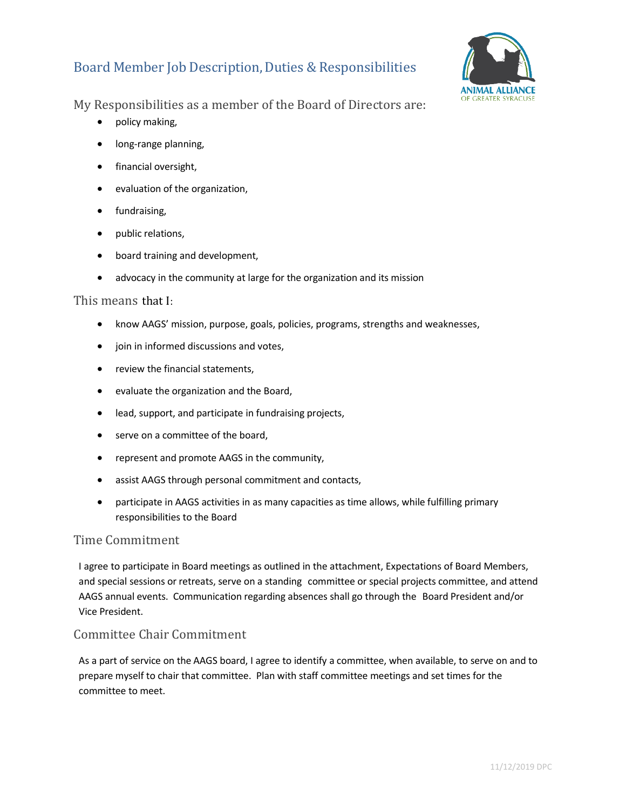# Board Member Job Description, Duties & Responsibilities



My Responsibilities as a member of the Board of Directors are:

- policy making,
- long-range planning,
- financial oversight,
- evaluation of the organization,
- fundraising,
- public relations,
- board training and development,
- advocacy in the community at large for the organization and its mission

#### This means that I:

- know AAGS' mission, purpose, goals, policies, programs, strengths and weaknesses,
- join in informed discussions and votes,
- review the financial statements,
- evaluate the organization and the Board,
- lead, support, and participate in fundraising projects,
- serve on a committee of the board,
- represent and promote AAGS in the community,
- assist AAGS through personal commitment and contacts,
- participate in AAGS activities in as many capacities as time allows, while fulfilling primary responsibilities to the Board

## Time Commitment

I agree to participate in Board meetings as outlined in the attachment, Expectations of Board Members, and special sessions or retreats, serve on a standing committee or special projects committee, and attend AAGS annual events. Communication regarding absences shall go through the Board President and/or Vice President.

## Committee Chair Commitment

As a part of service on the AAGS board, I agree to identify a committee, when available, to serve on and to prepare myself to chair that committee. Plan with staff committee meetings and set times for the committee to meet.